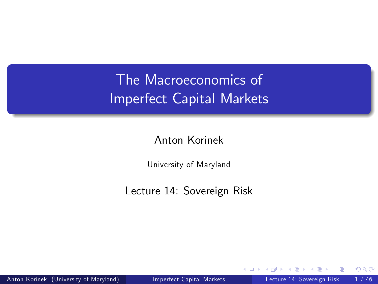# The Macroeconomics of Imperfect Capital Markets

Anton Korinek

University of Maryland

Lecture 14: Sovereign Risk

<span id="page-0-0"></span> $\leftarrow$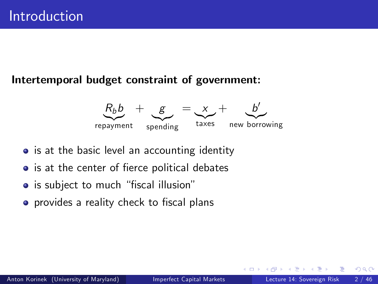#### Intertemporal budget constraint of government:



- is at the basic level an accounting identity
- is at the center of fierce political debates
- is subject to much "fiscal illusion"
- **•** provides a reality check to fiscal plans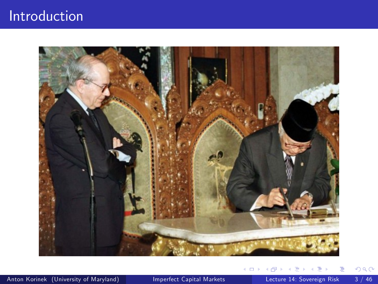### Introduction



Þ

Þ

**∢ □ ▶ ∢ ⑦** 

 $\rightarrow$ ×. э.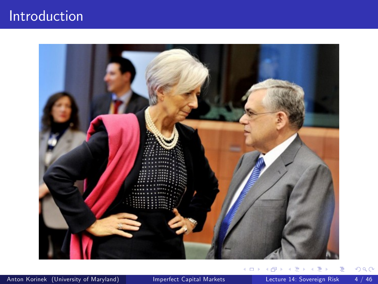### Introduction



Anton Korinek (University of Maryland) [Imperfect Capital Markets](#page-0-0) Lecture 14: Sovereign Risk 4 / 46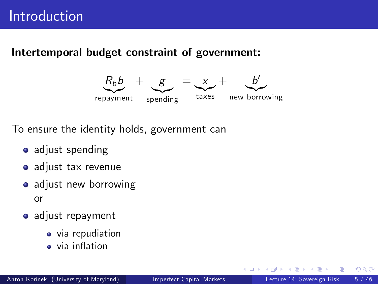### Intertemporal budget constraint of government:



To ensure the identity holds, government can

- **adjust spending**
- adjust tax revenue
- adjust new borrowing or
- adjust repayment
	- via repudiation
	- **a** via inflation

4 D F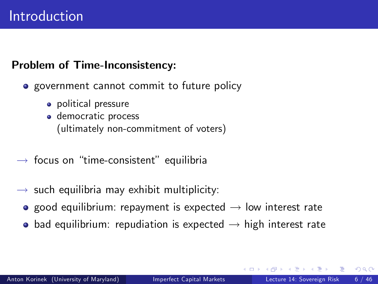### Problem of Time-Inconsistency:

- **•** government cannot commit to future policy
	- political pressure
	- **o** democratic process (ultimately non-commitment of voters)
- $\rightarrow$  focus on "time-consistent" equilibria
- $\rightarrow$  such equilibria may exhibit multiplicity:
	- **•** good equilibrium: repayment is expected  $\rightarrow$  low interest rate
	- bad equilibrium: repudiation is expected  $\rightarrow$  high interest rate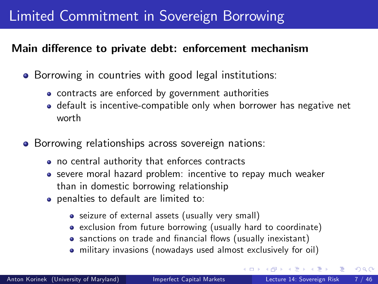## Limited Commitment in Sovereign Borrowing

#### Main difference to private debt: enforcement mechanism

- Borrowing in countries with good legal institutions:
	- contracts are enforced by government authorities
	- **o** default is incentive-compatible only when borrower has negative net worth
- **•** Borrowing relationships across sovereign nations:
	- no central authority that enforces contracts
	- severe moral hazard problem: incentive to repay much weaker than in domestic borrowing relationship
	- penalties to default are limited to:
		- seizure of external assets (usually very small)
		- exclusion from future borrowing (usually hard to coordinate)
		- sanctions on trade and financial flows (usually inexistant)
		- military invasions (nowadays used almost exclusively for oil)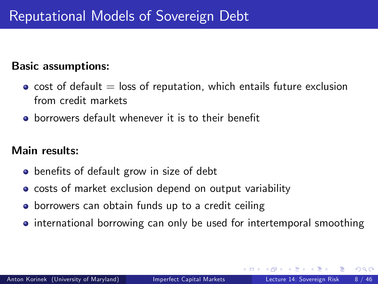### Basic assumptions:

- $\bullet$  cost of default  $=$  loss of reputation, which entails future exclusion from credit markets
- **•** borrowers default whenever it is to their benefit

### Main results:

- **•** benefits of default grow in size of debt
- **o** costs of market exclusion depend on output variability
- **•** borrowers can obtain funds up to a credit ceiling
- <span id="page-7-0"></span>• international borrowing can only be used for intertemporal smoothing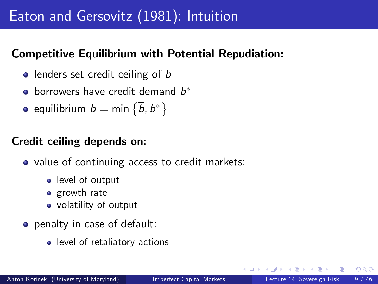## Eaton and Gersovitz (1981): Intuition

### Competitive Equilibrium with Potential Repudiation:

- lenders set credit ceiling of  $\overline{b}$
- borrowers have credit demand  $b^\ast$
- equilibrium  $b=\mathsf{min}\left\{\overline{b}, b^*\right\}$

### Credit ceiling depends on:

- value of continuing access to credit markets:
	- level of output
	- growth rate
	- volatility of output
- <span id="page-8-0"></span>**•** penalty in case of default:
	- level of retaliatory actions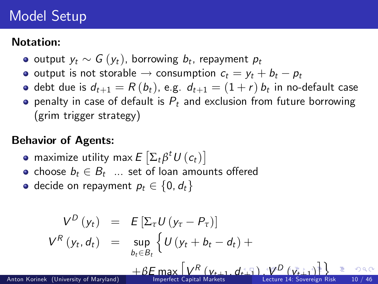## Model Setup

### Notation:

- output  $y_t \sim G(y_t)$ , borrowing  $b_t$ , repayment  $p_t$
- o output is not storable  $\rightarrow$  consumption  $c_t = y_t + b_t p_t$
- debt due is  $d_{t+1} = R\left(b_{t}\right)$ , e.g.  $\,d_{t+1} = (1+r)\,b_{t}$  in no-default case
- **•** penalty in case of default is  $P_t$  and exclusion from future borrowing (grim trigger strategy)

### Behavior of Agents:

- maximize utility max  $E\left[\Sigma_t\beta^t\,U\left(c_t\right)\right]$
- choose  $b_t \in B_t$  ... set of loan amounts offered
- <span id="page-9-0"></span>• decide on repayment  $p_t \in \{0, d_t\}$

$$
V^{D} (y_{t}) = E \left[\sum_{\tau} U (y_{\tau} - P_{\tau})\right]
$$
\n
$$
V^{R} (y_{t}, d_{t}) = \sup_{b_{t} \in B_{t}} \left\{ U (y_{t} + b_{t} - d_{t}) + \frac{1}{2} E \left[\sum_{\tau} V^{R} (y_{t+1}, d_{t+1}) - \sum_{\tau} V^{D} (y_{t+1})\right] \right\} \ge 0.98
$$
\nAnton Korinek (University of Maryland)

\nAnother Bayesian Market Capital Markets

\nAnother Bayesian Risk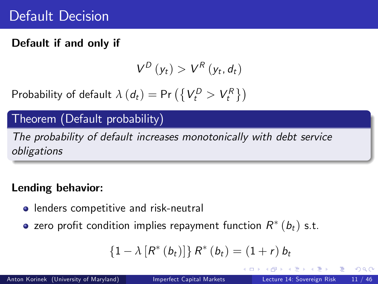### Default if and only if

$$
V^D(y_t) > V^R(y_t, d_t)
$$

Probability of default  $\lambda (d_t) = \textsf{Pr}\left(\left\{V^D_t > V^R_t\right\}\right)$ 

### Theorem (Default probability)

The probability of default increases monotonically with debt service obligations

### Lending behavior:

- **•** lenders competitive and risk-neutral
- zero profit condition implies repayment function  $R^*\left(b_t\right)$  s.t.

<span id="page-10-0"></span>
$$
\{1 - \lambda [R^*(b_t)]\} R^*(b_t) = (1+r) b_t
$$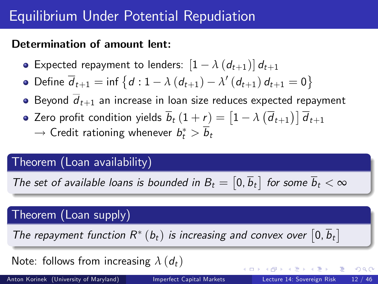## Equilibrium Under Potential Repudiation

### Determination of amount lent:

**•** Expected repayment to lenders:  $[1 - \lambda (d_{t+1})] d_{t+1}$ 

• Define 
$$
\overline{d}_{t+1} = \inf \{ d : 1 - \lambda (d_{t+1}) - \lambda' (d_{t+1}) d_{t+1} = 0 \}
$$

- Beyond  $d_{t+1}$  an increase in loan size reduces expected repayment
- Zero profit condition yields  $\overline{b}_t \, (1+\underline{r}) = \left[1-\lambda\left(\overline{d}_{t+1}\right)\right]\overline{d}_{t+1}$  $\rightarrow$  Credit rationing whenever  $b_t^*>b_t$

### Theorem (Loan availability)

The set of available loans is bounded in  $B_t = \begin{bmatrix} 0, \overline{b}_t \end{bmatrix}$  for some  $\overline{b}_t < \infty$ 

### Theorem (Loan supply)

The repayment function  $R^*$   $(b_t)$  is increasing and convex over  $[0,\overline{b}_t]$ 

Note: follows from increasing  $\lambda$  ( $d_t$ )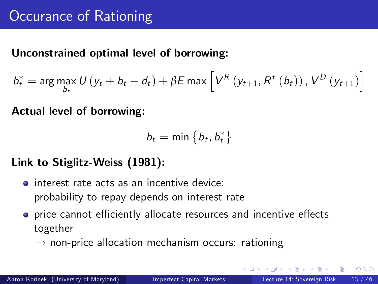### Unconstrained optimal level of borrowing:

$$
b_{t}^{*} = \arg \max_{b_{t}} U\left(y_{t} + b_{t} - d_{t}\right) + \beta E \max \left[V^{R}\left(y_{t+1}, R^{*}\left(b_{t}\right)\right), V^{D}\left(y_{t+1}\right)\right]
$$

Actual level of borrowing:

$$
b_t = \text{min}\left\{\overline{b}_t, b_t^*\right\}
$$

### Link to Stiglitz-Weiss (1981):

- $\bullet$  interest rate acts as an incentive device: probability to repay depends on interest rate
- price cannot efficiently allocate resources and incentive effects together
	- $\rightarrow$  non-price allocation mechanism occurs: rationing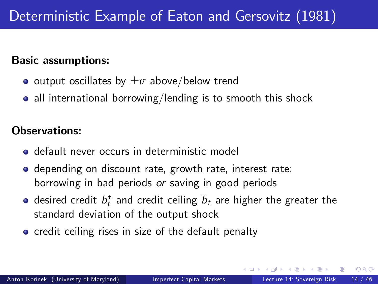#### Basic assumptions:

- output oscillates by  $\pm \sigma$  above/below trend
- all international borrowing/lending is to smooth this shock

### Observations:

- **o** default never occurs in deterministic model
- **•** depending on discount rate, growth rate, interest rate: borrowing in bad periods or saving in good periods
- desired credit  $b_t^\ast$  and credit ceiling  $b_t$  are higher the greater the standard deviation of the output shock
- <span id="page-13-0"></span>**o** credit ceiling rises in size of the default penalty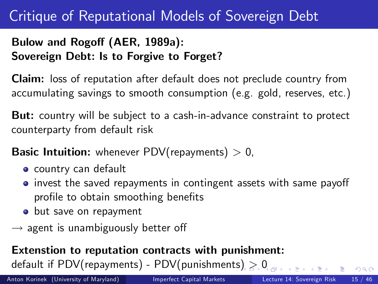## Critique of Reputational Models of Sovereign Debt

### Bulow and Rogoff (AER, 1989a): Sovereign Debt: Is to Forgive to Forget?

Claim: loss of reputation after default does not preclude country from accumulating savings to smooth consumption (e.g. gold, reserves, etc.)

But: country will be subject to a cash-in-advance constraint to protect counterparty from default risk

**Basic Intuition:** whenever PDV(repayments)  $> 0$ ,

- **o** country can default
- $\bullet$  invest the saved repayments in contingent assets with same payoff profile to obtain smoothing benefits
- but save on repayment
- $\rightarrow$  agent is unambiguously better off

### Extenstion to reputation contracts with punishment: default if PDV(repayments[\)](#page-13-0) - PDV(punishments)  $> 0$  $> 0$  $> 0$

Anton Korinek (University of Maryland) [Imperfect Capital Markets](#page-0-0) Lecture 14: Sovereign Risk 15 / 46

<span id="page-14-0"></span>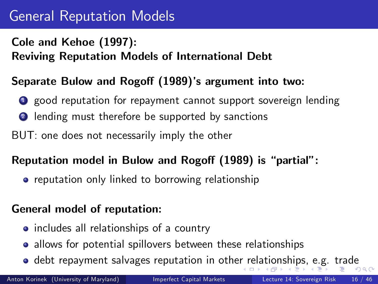## General Reputation Models

### Cole and Kehoe (1997):

### Reviving Reputation Models of International Debt

### Separate Bulow and Rogoff (1989)'s argument into two:

- **1** good reputation for repayment cannot support sovereign lending
- **2** lending must therefore be supported by sanctions
- BUT: one does not necessarily imply the other

### Reputation model in Bulow and Rogoff (1989) is "partial":

**•** reputation only linked to borrowing relationship

### General model of reputation:

- includes all relationships of a country
- allows for potential spillovers between these relationships
- <span id="page-15-0"></span> $\bullet$  $\bullet$  debt repayment salvages reputation in othe[r r](#page-14-0)[ela](#page-16-0)t[io](#page-15-0)[ns](#page-16-0)[h](#page-13-0)[i](#page-14-0)[p](#page-16-0)[s,](#page-17-0)[e.](#page-14-0)[g](#page-16-0)[.](#page-17-0) [tr](#page-0-0)[ad](#page-45-0)e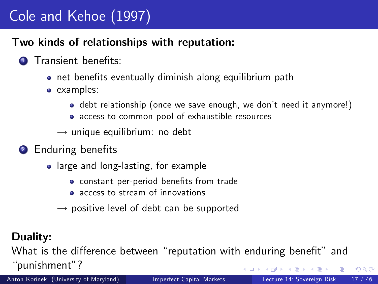# Cole and Kehoe (1997)

### Two kinds of relationships with reputation:

### **1** Transient benefits:

- o net benefits eventually diminish along equilibrium path
- examples:
	- debt relationship (once we save enough, we don't need it anymore!)
	- access to common pool of exhaustible resources
	- $\rightarrow$  unique equilibrium: no debt
- <sup>2</sup> Enduring benefits
	- large and long-lasting, for example
		- **•** constant per-period benefits from trade
		- **a** access to stream of innovations
		- $\rightarrow$  positive level of debt can be supported

### Duality:

<span id="page-16-0"></span>What is the difference between "reputation with enduring benefit" and "punishment"?

Anton Korinek (University of Maryland) [Imperfect Capital Markets](#page-0-0) Lecture 14: Sovereign Risk 17 / 46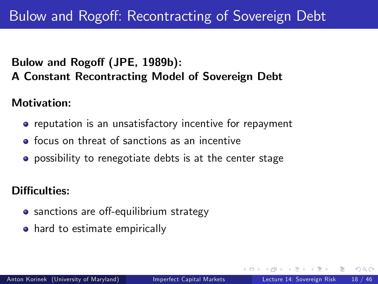### Bulow and Rogoff (JPE, 1989b): A Constant Recontracting Model of Sovereign Debt

Motivation:

- **•** reputation is an unsatisfactory incentive for repayment
- **o** focus on threat of sanctions as an incentive
- **•** possibility to renegotiate debts is at the center stage

### Difficulties:

- sanctions are off-equilibrium strategy
- <span id="page-17-0"></span>**•** hard to estimate empirically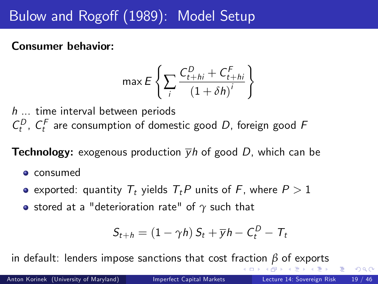# Bulow and Rogoff (1989): Model Setup

### Consumer behavior:

$$
\max E\left\{\sum_{i}\frac{C_{t+hi}^D + C_{t+hi}^F}{\left(1 + \delta h\right)^i}\right\}
$$

h ... time interval between periods  $C_t^D$ ,  $C_t^F$  are consumption of domestic good D, foreign good F

**Technology:** exogenous production  $\overline{y}h$  of good D, which can be

- **o** consumed
- exported: quantity  $T_t$  yields  $T_tP$  units of F, where  $P>1$
- **•** stored at a "deterioration rate" of  $γ$  such that

<span id="page-18-0"></span>
$$
S_{t+h} = (1 - \gamma h) S_t + \overline{y} h - C_t^D - T_t
$$

in default: lenders impose sanctions that cost fr[ac](#page-17-0)t[io](#page-19-0)[n](#page-17-0) *[β](#page-18-0)* [o](#page-19-0)[f](#page-16-0)[e](#page-25-0)[xp](#page-26-0)[o](#page-16-0)[r](#page-17-0)[t](#page-25-0)[s](#page-26-0)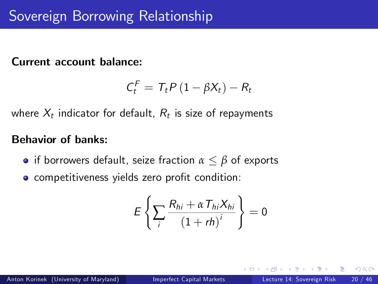#### Current account balance:

$$
C_t^F = T_t P (1 - \beta X_t) - R_t
$$

where  $X_t$  indicator for default,  $R_t$  is size of repayments

### Behavior of banks:

- **•** if borrowers default, seize fraction  $\alpha \leq \beta$  of exports
- competitiveness yields zero profit condition:

<span id="page-19-0"></span>
$$
E\left\{\sum_{i}\frac{R_{hi}+\alpha T_{hi}X_{hi}}{\left(1+rh\right)^i}\right\}=0
$$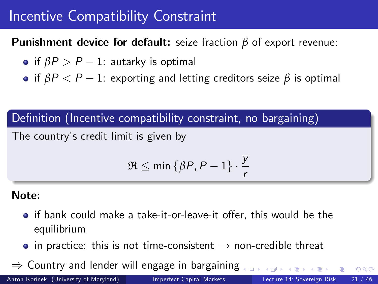## Incentive Compatibility Constraint

Punishment device for default: seize fraction *β* of export revenue:

- if  $\beta P > P 1$ : autarky is optimal
- if  $\beta P < P 1$ : exporting and letting creditors seize  $\beta$  is optimal

### Definition (Incentive compatibility constraint, no bargaining)

The countryís credit limit is given by

$$
\mathfrak{R} \leq \min\left\{\beta P, P-1\right\} \cdot \frac{\overline{y}}{r}
$$

#### Note:

- $\bullet$  if bank could make a take-it-or-leave-it offer, this would be the equilibrium
- $\bullet$  in practice: this is not time-consistent  $\rightarrow$  non-credible threat

 $\Rightarrow$  Country and lender will engage in bargaining

新聞 不満 あい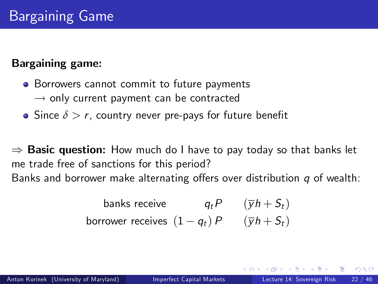### Bargaining game:

- Borrowers cannot commit to future payments  $\rightarrow$  only current payment can be contracted
- Since  $\delta > r$ , country never pre-pays for future benefit

 $\Rightarrow$  Basic question: How much do I have to pay today so that banks let me trade free of sanctions for this period? Banks and borrower make alternating offers over distribution  $q$  of wealth:

banks receive 
$$
q_t P
$$
  $(\overline{y}h + S_t)$   
borrower receives  $(1 - q_t) P$   $(\overline{y}h + S_t)$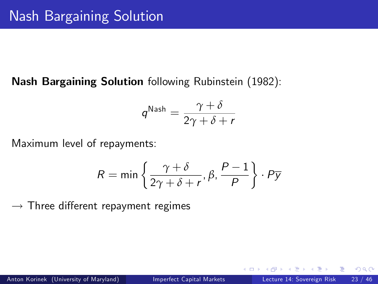### Nash Bargaining Solution following Rubinstein (1982):

$$
\mathsf{q}^{\mathsf{Nash}} = \frac{\gamma+\delta}{2\gamma+\delta+r}
$$

Maximum level of repayments:

$$
R = \min \left\{ \frac{\gamma + \delta}{2\gamma + \delta + r}, \beta, \frac{P - 1}{P} \right\} \cdot P \overline{y}
$$

 $\rightarrow$  Three different repayment regimes

4 0 8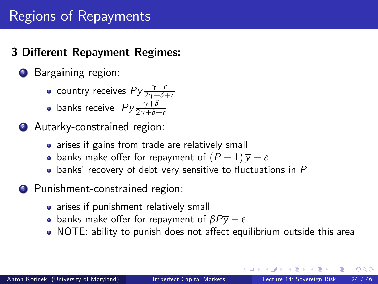### Regions of Repayments

### 3 Different Repayment Regimes:

### **1** Bargaining region:

- country receives  $P\overline{y}\frac{\gamma+r}{2\gamma+\delta-r}$ 2*γ*+*δ*+r
- banks receive  $P\overline{y}\frac{\gamma+\delta}{2\gamma+\delta-1}$ 2*γ*+*δ*+r
- 2 Autarky-constrained region:
	- arises if gains from trade are relatively small
	- **•** banks make offer for repayment of  $(P 1)\overline{y} \varepsilon$
	- $\bullet$  banks' recovery of debt very sensitive to fluctuations in P
- <sup>3</sup> Punishment-constrained region:
	- arises if punishment relatively small
	- **•** banks make offer for repayment of  $\beta P\overline{v} \varepsilon$
	- NOTE: ability to punish does not affect equilibrium outside this area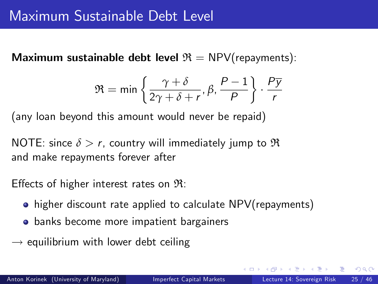Maximum sustainable debt level  $\mathfrak{R} = \text{NPV}($ repayments):

$$
\mathfrak{R} = \min \left\{ \frac{\gamma + \delta}{2\gamma + \delta + r}, \beta, \frac{P - 1}{P} \right\} \cdot \frac{P \overline{y}}{r}
$$

(any loan beyond this amount would never be repaid)

NOTE: since  $\delta > r$ , country will immediately jump to R and make repayments forever after

Effects of higher interest rates on  $\mathfrak{R}$ :

- higher discount rate applied to calculate NPV(repayments)
- **•** banks become more impatient bargainers
- $\rightarrow$  equilibrium with lower debt ceiling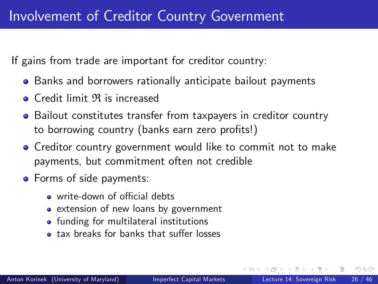If gains from trade are important for creditor country:

- Banks and borrowers rationally anticipate bailout payments
- **o** Credit limit  $\Re$  is increased
- Bailout constitutes transfer from taxpayers in creditor country to borrowing country (banks earn zero profits!)
- **•** Creditor country government would like to commit not to make payments, but commitment often not credible
- <span id="page-25-0"></span>**•** Forms of side payments:
	- $\bullet$  write-down of official debts
	- extension of new loans by government
	- **•** funding for multilateral institutions
	- **tax breaks for banks that suffer losses**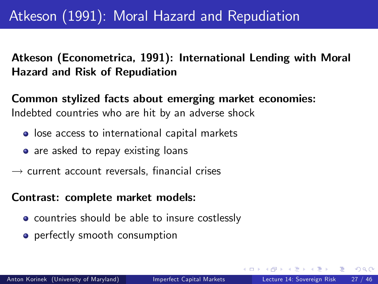Atkeson (Econometrica, 1991): International Lending with Moral Hazard and Risk of Repudiation

Common stylized facts about emerging market economies: Indebted countries who are hit by an adverse shock

- lose access to international capital markets
- are asked to repay existing loans
- $\rightarrow$  current account reversals, financial crises

#### Contrast: complete market models:

- countries should be able to insure costlessly
- <span id="page-26-0"></span>**•** perfectly smooth consumption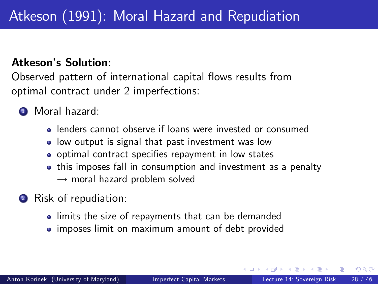#### Atkeson's Solution:

Observed pattern of international capital flows results from optimal contract under 2 imperfections:

- <sup>1</sup> Moral hazard:
	- lenders cannot observe if loans were invested or consumed
	- **.** low output is signal that past investment was low
	- o optimal contract specifies repayment in low states
	- this imposes fall in consumption and investment as a penalty  $\rightarrow$  moral hazard problem solved
- <span id="page-27-0"></span>Risk of repudiation:
	- **.** limits the size of repayments that can be demanded
	- imposes limit on maximum amount of debt provided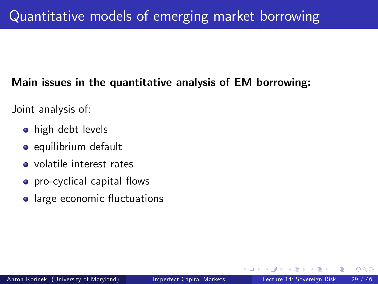### Main issues in the quantitative analysis of EM borrowing:

Joint analysis of:

- **•** high debt levels
- o equilibrium default
- volatile interest rates
- **o** pro-cyclical capital flows
- large economic fluctuations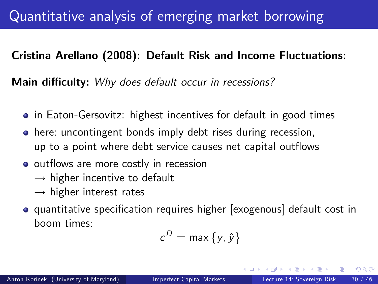### Cristina Arellano (2008): Default Risk and Income Fluctuations:

Main difficulty: Why does default occur in recessions?

- in Eaton-Gersovitz: highest incentives for default in good times
- here: uncontingent bonds imply debt rises during recession, up to a point where debt service causes net capital outflows
- o outflows are more costly in recession
	- $\rightarrow$  higher incentive to default
	- $\rightarrow$  higher interest rates
- **•** quantitative specification requires higher [exogenous] default cost in boom times:

$$
c^D = \max\{y, \hat{y}\}
$$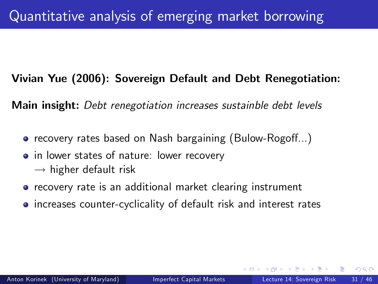### Vivian Yue (2006): Sovereign Default and Debt Renegotiation:

Main insight: Debt renegotiation increases sustainble debt levels

- recovery rates based on Nash bargaining (Bulow-Rogoff...)
- in lower states of nature: lower recovery  $\rightarrow$  higher default risk
- **•** recovery rate is an additional market clearing instrument
- <span id="page-30-0"></span>increases counter-cyclicality of default risk and interest rates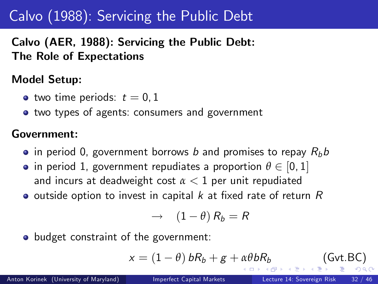# Calvo (1988): Servicing the Public Debt

Calvo (AER, 1988): Servicing the Public Debt: The Role of Expectations

### Model Setup:

- two time periods:  $t = 0, 1$
- two types of agents: consumers and government

#### Government:

- $\bullet$  in period 0, government borrows b and promises to repay  $R_b b$
- in period 1, government repudiates a proportion  $\theta \in [0, 1]$ and incurs at deadweight cost  $\alpha < 1$  per unit repudiated
- $\bullet$  outside option to invest in capital k at fixed rate of return R

<span id="page-31-0"></span>
$$
\rightarrow (1-\theta) R_b = R
$$

• budget constraint of the government:

$$
x = (1 - \theta) bR_b + g + \alpha\theta bR_b
$$
 (Gvt.BC)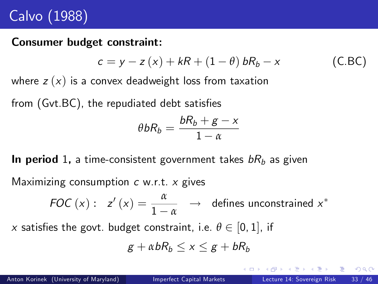# Calvo (1988)

#### Consumer budget constraint:

$$
c = y - z(x) + kR + (1 - \theta) bR_b - x \qquad (C.BC)
$$

where  $z(x)$  is a convex deadweight loss from taxation

from  $(Gvt.BC)$ , the repudiated debt satisfies

$$
\theta bR_b = \frac{bR_b + g - x}{1 - \alpha}
$$

In period 1, a time-consistent government takes  $bR_b$  as given

Maximizing consumption  $c$  w.r.t.  $x$  gives

FOC (x): 
$$
z'(x) = \frac{\alpha}{1-\alpha} \rightarrow
$$
 defines unconstrained x<sup>\*</sup>

x satisfies the govt. budget constraint, i.e.  $\theta \in [0, 1]$ , if

$$
g+\alpha bR_b\leq x\leq g+bR_b
$$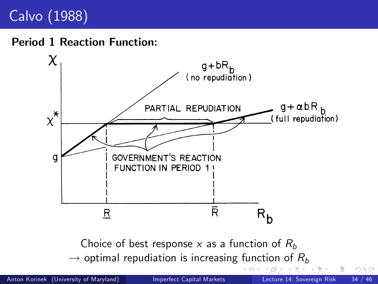# Calvo (1988)

# Period 1 Reaction Function: No. 4 No. 4 No. 4 No. 4 No. 4 No. 4 No. 4 No. 4 No. 4 No. 4 No. 4 No. 4 No. 4 No. 4 No



 $F_{\text{noise of host response}}$   $\theta$  and  $\theta$  function of  $\theta$ Choice of best response  $x$  as a function of  $R_b$  $\rightarrow$  optimal repudiation is increasing function of  $R_b$  $R_b$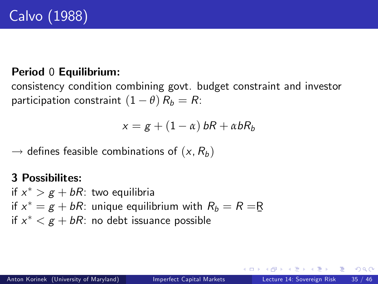### Period 0 Equilibrium:

consistency condition combining govt. budget constraint and investor participation constraint  $(1 - \theta) R_b = R$ :

<span id="page-34-0"></span>
$$
x = g + (1 - \alpha) bR + \alpha bR_b
$$

 $\rightarrow$  defines feasible combinations of  $(x, R_h)$ 

### 3 Possibilites:

if  $x^*>g+bR$ : two equilibria if  $x^* = g + bR$ : unique equilibrium with  $R_b = R = R$ Ø if  $x^* < g + b R$ : no debt issuance possible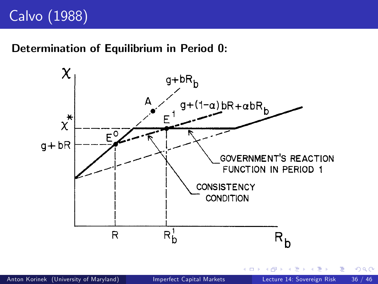# Calvo (1988)

### Determination of Equilibrium in Period 0:

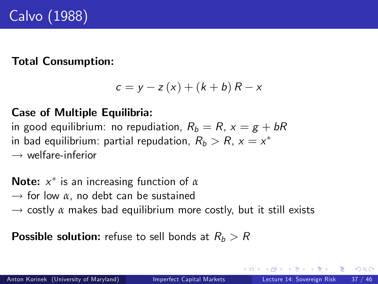### Total Consumption:

<span id="page-36-0"></span>
$$
c = y - z(x) + (k + b) R - x
$$

### Case of Multiple Equilibria:

in good equilibrium: no repudiation,  $R_b = R$ ,  $x = g + bR$ in bad equilibrium: partial repudation,  $R_b > R$ ,  $x = x^\ast$  $\rightarrow$  welfare-inferior

**Note:**  $x^*$  is an increasing function of *α*  $\rightarrow$  for low  $\alpha$ , no debt can be sustained  $\rightarrow$  costly  $\alpha$  makes bad equilibrium more costly, but it still exists

**Possible solution:** refuse to sell bonds at  $R_b > R$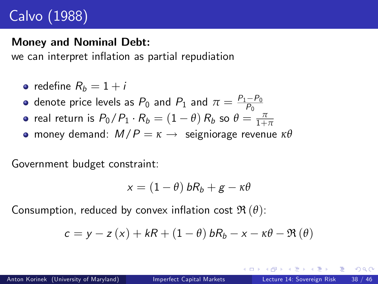# Calvo (1988)

#### Money and Nominal Debt:

we can interpret inflation as partial repudiation

$$
\bullet\ \text{ redefine}\ R_b=1+i
$$

- denote price levels as  $P_0$  and  $P_1$  and  $\pi=\frac{P_1-P_0}{P_0}$
- real return is  $P_0/P_1 \cdot R_b = (1 \theta) R_b$  so  $\theta = \frac{\pi}{1 + \pi}$
- **o** money demand:  $M/P = \kappa \rightarrow$  seigniorage revenue  $\kappa\theta$

Government budget constraint:

$$
x = (1 - \theta) bR_b + g - \kappa \theta
$$

Consumption, reduced by convex inflation cost  $\mathfrak{R}(\theta)$ :

$$
c = y - z(x) + kR + (1 - \theta) bR_b - x - \kappa\theta - \Re(\theta)
$$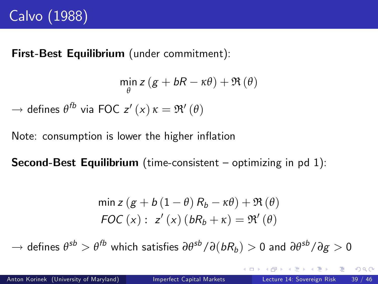First-Best Equilibrium (under commitment):

$$
\min_{\theta} z (g + bR - \kappa \theta) + \Re(\theta)
$$

 $\rightarrow$  defines  $\theta^{fb}$  via FOC z'  $(x)$   $\kappa = \Re'(\theta)$ 

Note: consumption is lower the higher inflation

**Second-Best Equilibrium** (time-consistent  $-$  optimizing in pd 1):

$$
\min z (g + b (1 - \theta) R_b - \kappa \theta) + \Re(\theta)
$$
  

$$
FOC (x) : z' (x) (bR_b + \kappa) = \Re'(\theta)
$$

 $\to$  defines  $\theta^{sb} > \theta^{fb}$  which satisfies  $\partial \theta^{sb}/\partial (b R_b) > 0$  and  $\partial \theta^{sb}/\partial g > 0$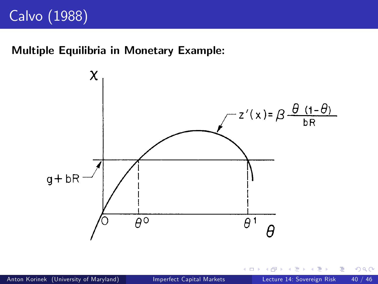### Multiple Equilibria in Monetary Example:



4 0 8

 $QQ$ 

э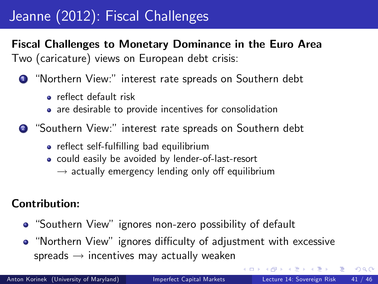# Jeanne (2012): Fiscal Challenges

Fiscal Challenges to Monetary Dominance in the Euro Area Two (caricature) views on European debt crisis:

- **1** "Northern View:" interest rate spreads on Southern debt
	- **•** reflect default risk
	- are desirable to provide incentives for consolidation

2 "Southern View:" interest rate spreads on Southern debt

- reflect self-fulfilling bad equilibrium
- could easily be avoided by lender-of-last-resort
	- $\rightarrow$  actually emergency lending only off equilibrium

### Contribution:

- "Southern View" ignores non-zero possibility of default
- "Northern View" ignores difficulty of adjustment with excessive spreads  $\rightarrow$  incentives may actually weaken

<span id="page-40-0"></span> $QQ$ 

イロト イ押ト イヨト イヨト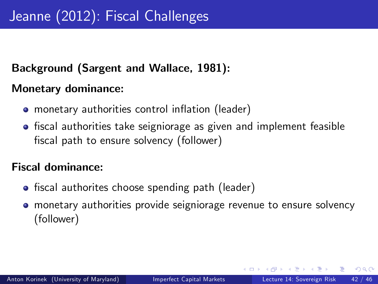### Background (Sargent and Wallace, 1981):

### Monetary dominance:

- monetary authorities control inflation (leader)
- **•** fiscal authorities take seigniorage as given and implement feasible fiscal path to ensure solvency (follower)

### Fiscal dominance:

- fiscal authorites choose spending path (leader)
- **•** monetary authorities provide seigniorage revenue to ensure solvency (follower)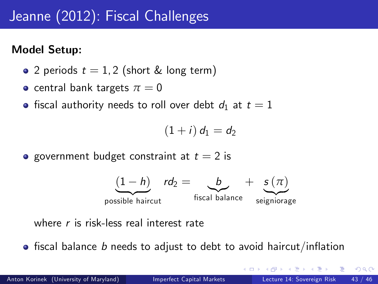### Model Setup:

- 2 periods  $t = 1, 2$  (short & long term)
- **•** central bank targets  $\pi = 0$
- fiscal authority needs to roll over debt  $d_1$  at  $t = 1$

$$
(1+i) d_1 = d_2
$$

**•** government budget constraint at  $t = 2$  is



where r is risk-less real interest rate

 $\bullet$  fiscal balance b needs to adjust to debt to avoid haircut/inflation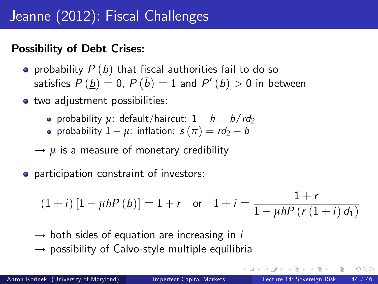### Possibility of Debt Crises:

- **•** probability  $P(b)$  that fiscal authorities fail to do so satisfies  $P\left(\underline{b}\right)=0$ ,  $P\left(\bar{b}\right)=1$  and  $P^{\prime}\left(b\right)>0$  in between
- two adjustment possibilities:
	- probability  $\mu$ : default/haircut:  $1 h = b / r d_2$
	- **•** probability  $1 \mu$ : inflation:  $s(\pi) = r d_2 b$
	- $\rightarrow u$  is a measure of monetary credibility
- participation constraint of investors:

$$
(1+i) [1 - \mu h P(b)] = 1 + r \quad \text{or} \quad 1 + i = \frac{1 + r}{1 - \mu h P(r (1+i) d_1)}
$$

- $\rightarrow$  both sides of equation are increasing in *i*
- $\rightarrow$  possibility of Calvo-style multiple equilibria

<span id="page-43-0"></span>ラメ メラメ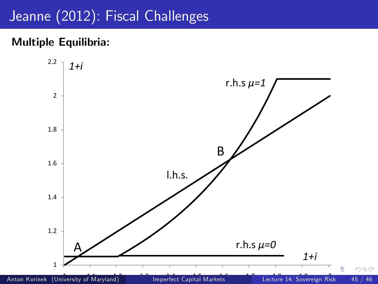### Multiple Equilibria:



<span id="page-44-0"></span>